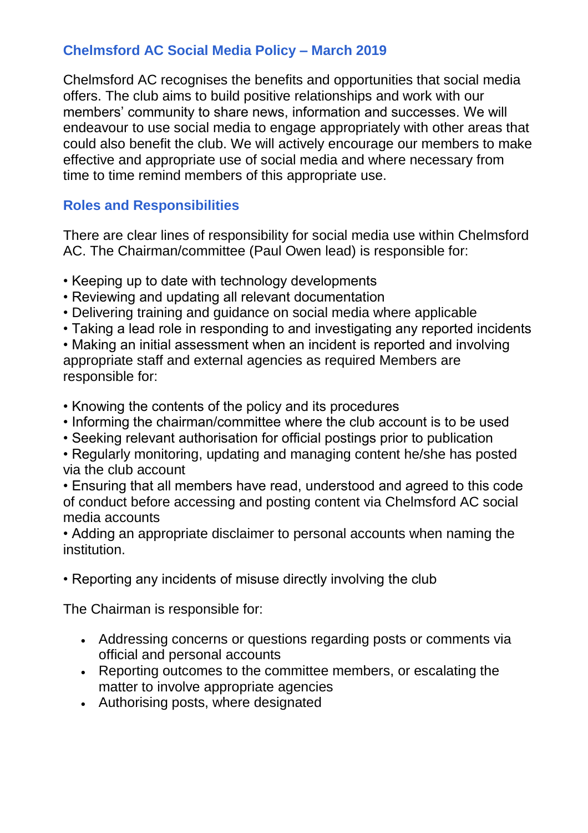# **Chelmsford AC Social Media Policy – March 2019**

Chelmsford AC recognises the benefits and opportunities that social media offers. The club aims to build positive relationships and work with our members' community to share news, information and successes. We will endeavour to use social media to engage appropriately with other areas that could also benefit the club. We will actively encourage our members to make effective and appropriate use of social media and where necessary from time to time remind members of this appropriate use.

# **Roles and Responsibilities**

There are clear lines of responsibility for social media use within Chelmsford AC. The Chairman/committee (Paul Owen lead) is responsible for:

- Keeping up to date with technology developments
- Reviewing and updating all relevant documentation
- Delivering training and guidance on social media where applicable
- Taking a lead role in responding to and investigating any reported incidents

• Making an initial assessment when an incident is reported and involving appropriate staff and external agencies as required Members are responsible for:

- Knowing the contents of the policy and its procedures
- Informing the chairman/committee where the club account is to be used
- Seeking relevant authorisation for official postings prior to publication

• Regularly monitoring, updating and managing content he/she has posted via the club account

• Ensuring that all members have read, understood and agreed to this code of conduct before accessing and posting content via Chelmsford AC social media accounts

• Adding an appropriate disclaimer to personal accounts when naming the institution.

• Reporting any incidents of misuse directly involving the club

The Chairman is responsible for:

- Addressing concerns or questions regarding posts or comments via official and personal accounts
- Reporting outcomes to the committee members, or escalating the matter to involve appropriate agencies
- Authorising posts, where designated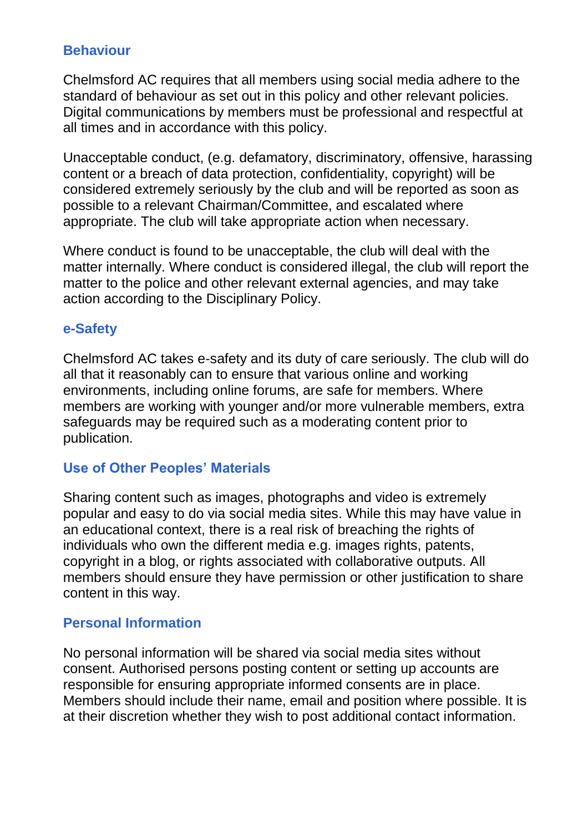## **Behaviour**

Chelmsford AC requires that all members using social media adhere to the standard of behaviour as set out in this policy and other relevant policies. Digital communications by members must be professional and respectful at all times and in accordance with this policy.

Unacceptable conduct, (e.g. defamatory, discriminatory, offensive, harassing content or a breach of data protection, confidentiality, copyright) will be considered extremely seriously by the club and will be reported as soon as possible to a relevant Chairman/Committee, and escalated where appropriate. The club will take appropriate action when necessary.

Where conduct is found to be unacceptable, the club will deal with the matter internally. Where conduct is considered illegal, the club will report the matter to the police and other relevant external agencies, and may take action according to the Disciplinary Policy.

## **e-Safety**

Chelmsford AC takes e-safety and its duty of care seriously. The club will do all that it reasonably can to ensure that various online and working environments, including online forums, are safe for members. Where members are working with younger and/or more vulnerable members, extra safeguards may be required such as a moderating content prior to publication.

## **Use of Other Peoples' Materials**

Sharing content such as images, photographs and video is extremely popular and easy to do via social media sites. While this may have value in an educational context, there is a real risk of breaching the rights of individuals who own the different media e.g. images rights, patents, copyright in a blog, or rights associated with collaborative outputs. All members should ensure they have permission or other justification to share content in this way.

#### **Personal Information**

No personal information will be shared via social media sites without consent. Authorised persons posting content or setting up accounts are responsible for ensuring appropriate informed consents are in place. Members should include their name, email and position where possible. It is at their discretion whether they wish to post additional contact information.